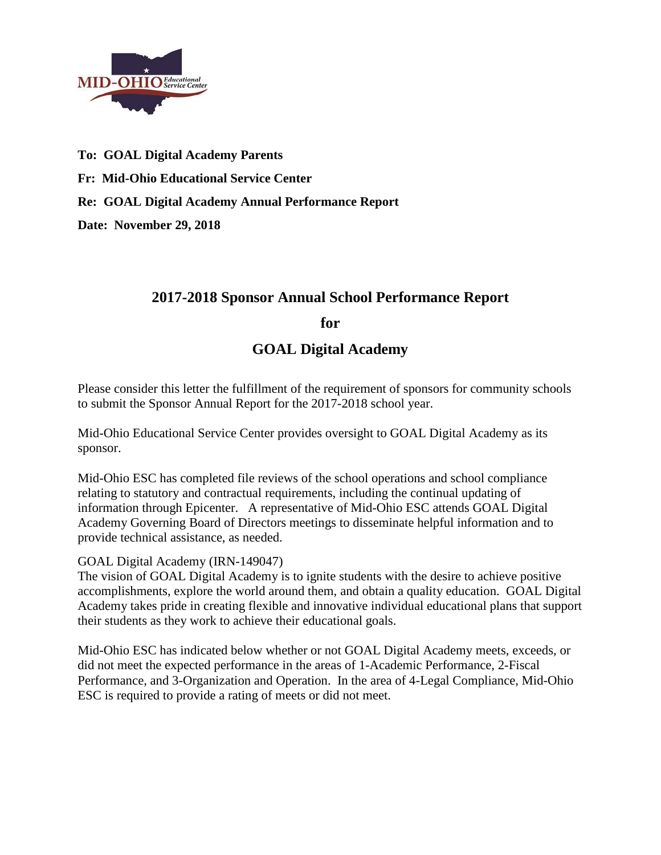

**To: GOAL Digital Academy Parents Fr: Mid-Ohio Educational Service Center Re: GOAL Digital Academy Annual Performance Report**

**Date: November 29, 2018**

# **2017-2018 Sponsor Annual School Performance Report**

**for**

**GOAL Digital Academy**

Please consider this letter the fulfillment of the requirement of sponsors for community schools to submit the Sponsor Annual Report for the 2017-2018 school year.

Mid-Ohio Educational Service Center provides oversight to GOAL Digital Academy as its sponsor.

Mid-Ohio ESC has completed file reviews of the school operations and school compliance relating to statutory and contractual requirements, including the continual updating of information through Epicenter. A representative of Mid-Ohio ESC attends GOAL Digital Academy Governing Board of Directors meetings to disseminate helpful information and to provide technical assistance, as needed.

### GOAL Digital Academy (IRN-149047)

The vision of GOAL Digital Academy is to ignite students with the desire to achieve positive accomplishments, explore the world around them, and obtain a quality education. GOAL Digital Academy takes pride in creating flexible and innovative individual educational plans that support their students as they work to achieve their educational goals.

Mid-Ohio ESC has indicated below whether or not GOAL Digital Academy meets, exceeds, or did not meet the expected performance in the areas of 1-Academic Performance, 2-Fiscal Performance, and 3-Organization and Operation. In the area of 4-Legal Compliance, Mid-Ohio ESC is required to provide a rating of meets or did not meet.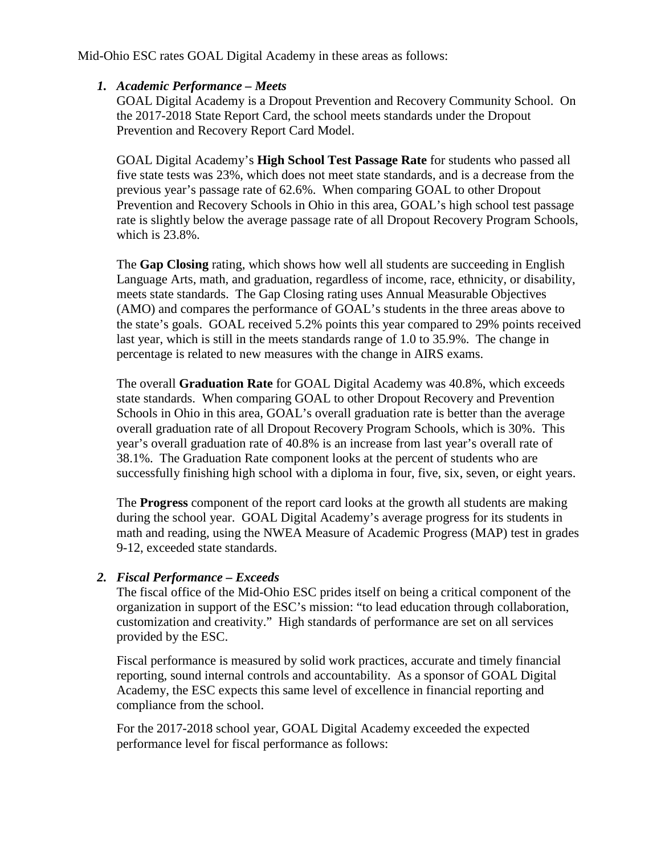Mid-Ohio ESC rates GOAL Digital Academy in these areas as follows:

### *1. Academic Performance – Meets*

GOAL Digital Academy is a Dropout Prevention and Recovery Community School. On the 2017-2018 State Report Card, the school meets standards under the Dropout Prevention and Recovery Report Card Model.

GOAL Digital Academy's **High School Test Passage Rate** for students who passed all five state tests was 23%, which does not meet state standards, and is a decrease from the previous year's passage rate of 62.6%. When comparing GOAL to other Dropout Prevention and Recovery Schools in Ohio in this area, GOAL's high school test passage rate is slightly below the average passage rate of all Dropout Recovery Program Schools, which is 23.8%.

The **Gap Closing** rating, which shows how well all students are succeeding in English Language Arts, math, and graduation, regardless of income, race, ethnicity, or disability, meets state standards. The Gap Closing rating uses Annual Measurable Objectives (AMO) and compares the performance of GOAL's students in the three areas above to the state's goals. GOAL received 5.2% points this year compared to 29% points received last year, which is still in the meets standards range of 1.0 to 35.9%. The change in percentage is related to new measures with the change in AIRS exams.

The overall **Graduation Rate** for GOAL Digital Academy was 40.8%, which exceeds state standards. When comparing GOAL to other Dropout Recovery and Prevention Schools in Ohio in this area, GOAL's overall graduation rate is better than the average overall graduation rate of all Dropout Recovery Program Schools, which is 30%. This year's overall graduation rate of 40.8% is an increase from last year's overall rate of 38.1%. The Graduation Rate component looks at the percent of students who are successfully finishing high school with a diploma in four, five, six, seven, or eight years.

The **Progress** component of the report card looks at the growth all students are making during the school year. GOAL Digital Academy's average progress for its students in math and reading, using the NWEA Measure of Academic Progress (MAP) test in grades 9-12, exceeded state standards.

### *2. Fiscal Performance – Exceeds*

The fiscal office of the Mid-Ohio ESC prides itself on being a critical component of the organization in support of the ESC's mission: "to lead education through collaboration, customization and creativity." High standards of performance are set on all services provided by the ESC.

Fiscal performance is measured by solid work practices, accurate and timely financial reporting, sound internal controls and accountability. As a sponsor of GOAL Digital Academy, the ESC expects this same level of excellence in financial reporting and compliance from the school.

For the 2017-2018 school year, GOAL Digital Academy exceeded the expected performance level for fiscal performance as follows: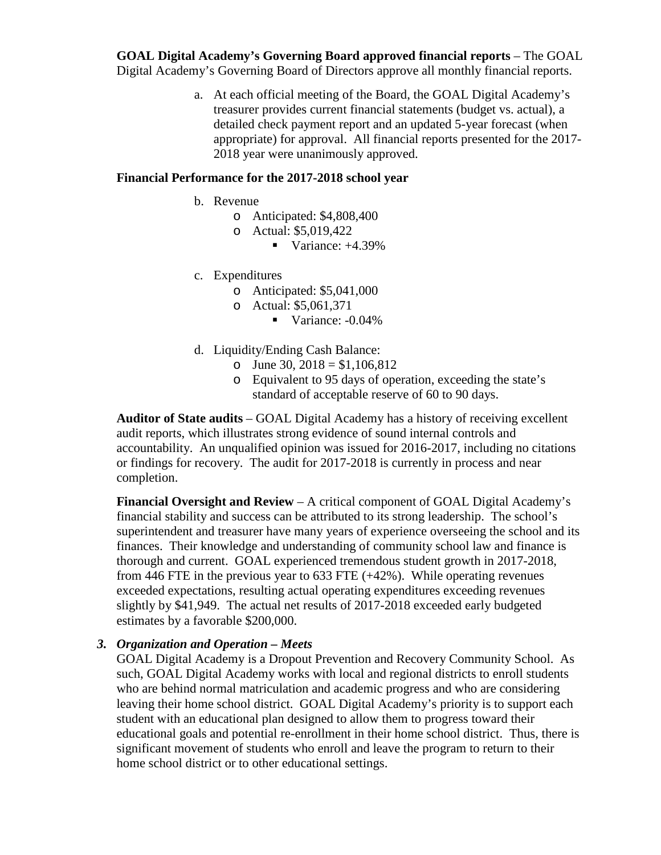**GOAL Digital Academy's Governing Board approved financial reports** – The GOAL Digital Academy's Governing Board of Directors approve all monthly financial reports.

> a. At each official meeting of the Board, the GOAL Digital Academy's treasurer provides current financial statements (budget vs. actual), a detailed check payment report and an updated 5-year forecast (when appropriate) for approval. All financial reports presented for the 2017- 2018 year were unanimously approved.

#### **Financial Performance for the 2017-2018 school year**

- b. Revenue
	- o Anticipated: \$4,808,400
	- o Actual: \$5,019,422
		- Variance:  $+4.39\%$
- c. Expenditures
	- o Anticipated: \$5,041,000
	- o Actual: \$5,061,371
		- Variance: -0.04%
- d. Liquidity/Ending Cash Balance:
	- o June 30,  $2018 = $1,106,812$
	- o Equivalent to 95 days of operation, exceeding the state's standard of acceptable reserve of 60 to 90 days.

**Auditor of State audits** – GOAL Digital Academy has a history of receiving excellent audit reports, which illustrates strong evidence of sound internal controls and accountability. An unqualified opinion was issued for 2016-2017, including no citations or findings for recovery. The audit for 2017-2018 is currently in process and near completion.

**Financial Oversight and Review** – A critical component of GOAL Digital Academy's financial stability and success can be attributed to its strong leadership. The school's superintendent and treasurer have many years of experience overseeing the school and its finances. Their knowledge and understanding of community school law and finance is thorough and current. GOAL experienced tremendous student growth in 2017-2018, from 446 FTE in the previous year to 633 FTE (+42%). While operating revenues exceeded expectations, resulting actual operating expenditures exceeding revenues slightly by \$41,949. The actual net results of 2017-2018 exceeded early budgeted estimates by a favorable \$200,000.

### *3. Organization and Operation – Meets*

GOAL Digital Academy is a Dropout Prevention and Recovery Community School. As such, GOAL Digital Academy works with local and regional districts to enroll students who are behind normal matriculation and academic progress and who are considering leaving their home school district. GOAL Digital Academy's priority is to support each student with an educational plan designed to allow them to progress toward their educational goals and potential re-enrollment in their home school district. Thus, there is significant movement of students who enroll and leave the program to return to their home school district or to other educational settings.